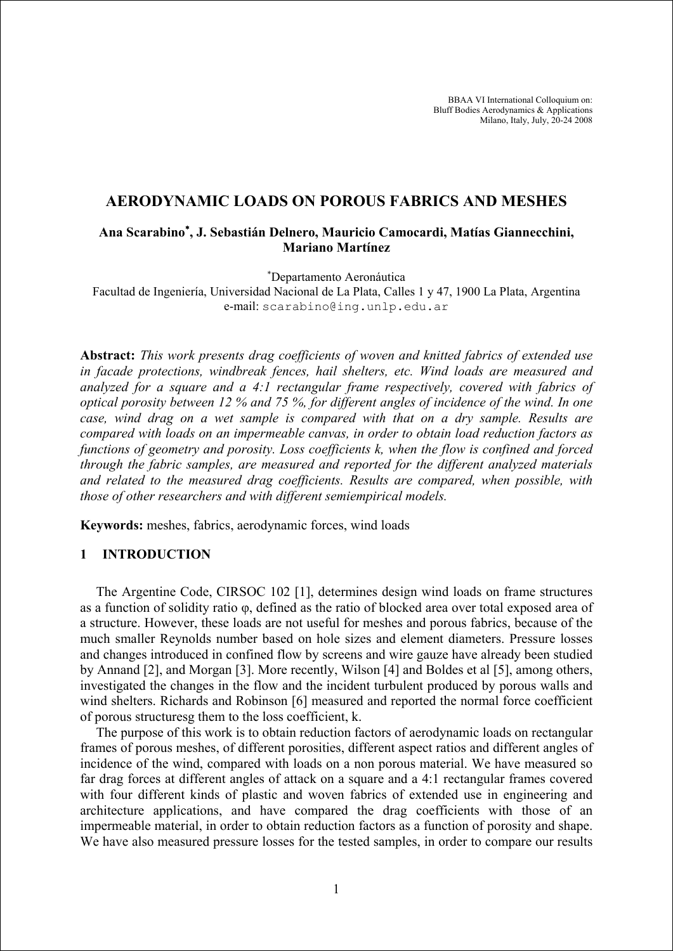BBAA VI International Colloquium on: Bluff Bodies Aerodynamics & Applications Milano, Italy, July, 20-24 2008

# **AERODYNAMIC LOADS ON POROUS FABRICS AND MESHES**

# **Ana Scarabino**<sup>∗</sup> **, J. Sebastián Delnero, Mauricio Camocardi, Matías Giannecchini, Mariano Martínez**

∗ Departamento Aeronáutica

Facultad de Ingeniería, Universidad Nacional de La Plata, Calles 1 y 47, 1900 La Plata, Argentina e-mail: scarabino@ing.unlp.edu.ar

**Abstract:** *This work presents drag coefficients of woven and knitted fabrics of extended use in facade protections, windbreak fences, hail shelters, etc. Wind loads are measured and analyzed for a square and a 4:1 rectangular frame respectively, covered with fabrics of optical porosity between 12 % and 75 %, for different angles of incidence of the wind. In one case, wind drag on a wet sample is compared with that on a dry sample. Results are compared with loads on an impermeable canvas, in order to obtain load reduction factors as functions of geometry and porosity. Loss coefficients k, when the flow is confined and forced through the fabric samples, are measured and reported for the different analyzed materials and related to the measured drag coefficients. Results are compared, when possible, with those of other researchers and with different semiempirical models.*

**Keywords:** meshes, fabrics, aerodynamic forces, wind loads

### **1 INTRODUCTION**

The Argentine Code, CIRSOC 102 [1], determines design wind loads on frame structures as a function of solidity ratio φ, defined as the ratio of blocked area over total exposed area of a structure. However, these loads are not useful for meshes and porous fabrics, because of the much smaller Reynolds number based on hole sizes and element diameters. Pressure losses and changes introduced in confined flow by screens and wire gauze have already been studied by Annand [2], and Morgan [3]. More recently, Wilson [4] and Boldes et al [5], among others, investigated the changes in the flow and the incident turbulent produced by porous walls and wind shelters. Richards and Robinson [6] measured and reported the normal force coefficient of porous structuresg them to the loss coefficient, k.

The purpose of this work is to obtain reduction factors of aerodynamic loads on rectangular frames of porous meshes, of different porosities, different aspect ratios and different angles of incidence of the wind, compared with loads on a non porous material. We have measured so far drag forces at different angles of attack on a square and a 4:1 rectangular frames covered with four different kinds of plastic and woven fabrics of extended use in engineering and architecture applications, and have compared the drag coefficients with those of an impermeable material, in order to obtain reduction factors as a function of porosity and shape. We have also measured pressure losses for the tested samples, in order to compare our results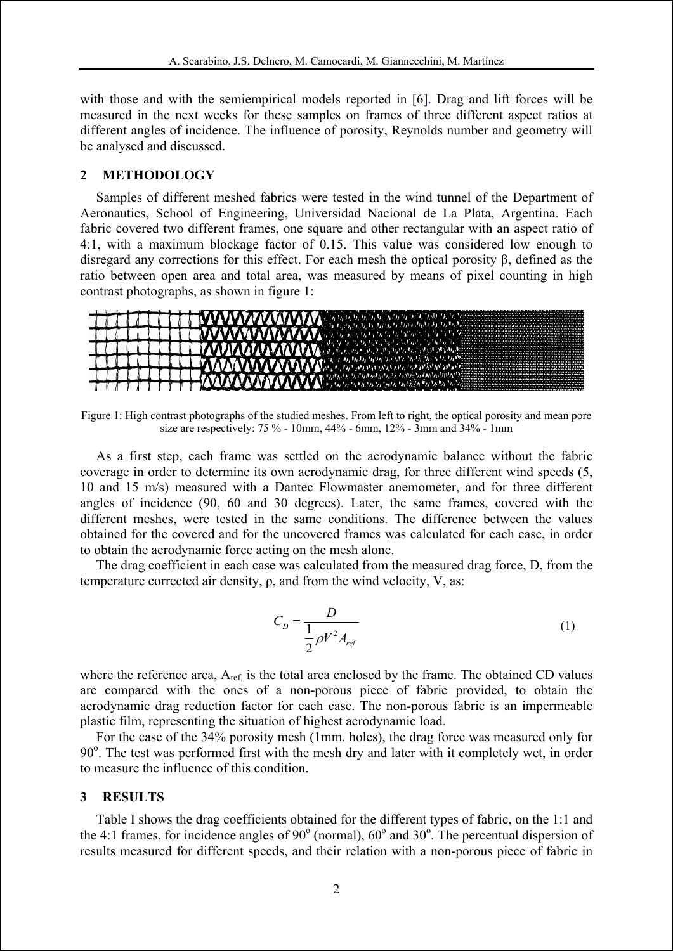with those and with the semiempirical models reported in [6]. Drag and lift forces will be measured in the next weeks for these samples on frames of three different aspect ratios at different angles of incidence. The influence of porosity, Reynolds number and geometry will be analysed and discussed.

### **2 METHODOLOGY**

Samples of different meshed fabrics were tested in the wind tunnel of the Department of Aeronautics, School of Engineering, Universidad Nacional de La Plata, Argentina. Each fabric covered two different frames, one square and other rectangular with an aspect ratio of 4:1, with a maximum blockage factor of 0.15. This value was considered low enough to disregard any corrections for this effect. For each mesh the optical porosity β, defined as the ratio between open area and total area, was measured by means of pixel counting in high contrast photographs, as shown in figure 1:

| HHHHHMWWWWW |           |                                | **************************                                                                                                                              |
|-------------|-----------|--------------------------------|---------------------------------------------------------------------------------------------------------------------------------------------------------|
|             |           |                                | <b><i><u>AARAAAAAAAFABAB</u></i></b>                                                                                                                    |
|             |           | <b>THE MOMMMMMM</b>            | <u>U. Secondo de Componentación de Partido de Componentación de la componentación de la componentación de la compo</u><br><b>1712101010101010101010</b> |
|             | HAMMYMMAR | <b>VALUE OF BUDGEON AVAILA</b> | <del></del>                                                                                                                                             |
|             |           | HYWWWWW.                       |                                                                                                                                                         |

Figure 1: High contrast photographs of the studied meshes. From left to right, the optical porosity and mean pore size are respectively: 75 % - 10mm, 44% - 6mm, 12% - 3mm and 34% - 1mm

As a first step, each frame was settled on the aerodynamic balance without the fabric coverage in order to determine its own aerodynamic drag, for three different wind speeds (5, 10 and 15 m/s) measured with a Dantec Flowmaster anemometer, and for three different angles of incidence (90, 60 and 30 degrees). Later, the same frames, covered with the different meshes, were tested in the same conditions. The difference between the values obtained for the covered and for the uncovered frames was calculated for each case, in order to obtain the aerodynamic force acting on the mesh alone.

The drag coefficient in each case was calculated from the measured drag force, D, from the temperature corrected air density, ρ, and from the wind velocity, V, as:

$$
C_D = \frac{D}{\frac{1}{2}\rho V^2 A_{ref}}\tag{1}
$$

where the reference area,  $A_{ref}$  is the total area enclosed by the frame. The obtained CD values are compared with the ones of a non-porous piece of fabric provided, to obtain the aerodynamic drag reduction factor for each case. The non-porous fabric is an impermeable plastic film, representing the situation of highest aerodynamic load.

For the case of the 34% porosity mesh (1mm. holes), the drag force was measured only for 90°. The test was performed first with the mesh dry and later with it completely wet, in order to measure the influence of this condition.

#### **3 RESULTS**

Table I shows the drag coefficients obtained for the different types of fabric, on the 1:1 and the 4:1 frames, for incidence angles of  $90^{\circ}$  (normal),  $60^{\circ}$  and  $30^{\circ}$ . The percentual dispersion of results measured for different speeds, and their relation with a non-porous piece of fabric in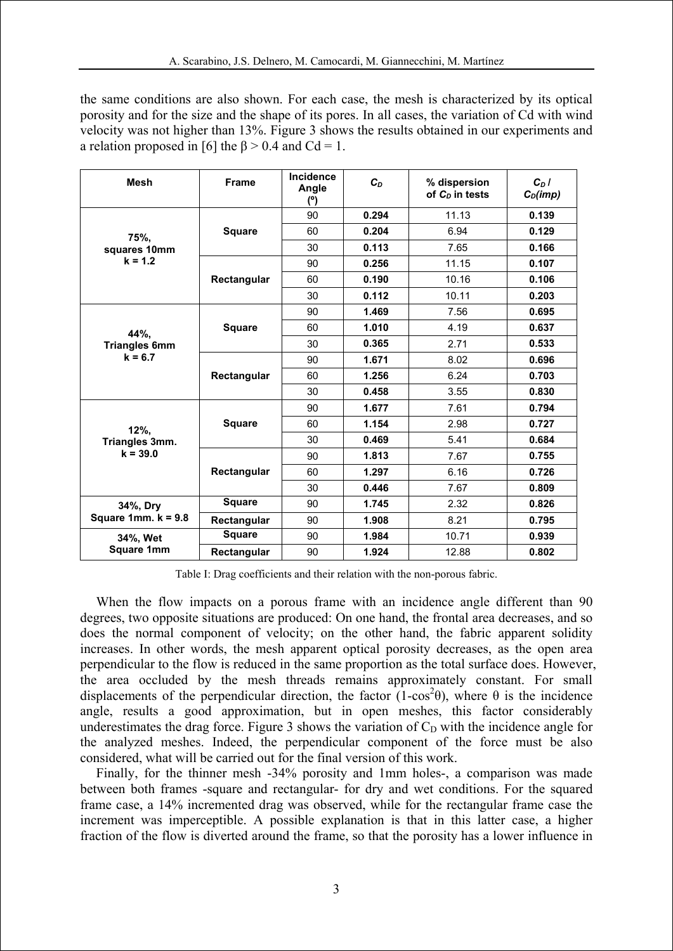the same conditions are also shown. For each case, the mesh is characterized by its optical porosity and for the size and the shape of its pores. In all cases, the variation of Cd with wind velocity was not higher than 13%. Figure 3 shows the results obtained in our experiments and a relation proposed in [6] the  $\beta$  > 0.4 and Cd = 1.

| <b>Mesh</b>                               | <b>Frame</b>  | Incidence<br>Angle<br>(°) | $C_D$ | % dispersion<br>of $C_D$ in tests | $C_D$ /<br>$C_D(imp)$ |
|-------------------------------------------|---------------|---------------------------|-------|-----------------------------------|-----------------------|
| 75%,<br>squares 10mm<br>$k = 1.2$         | <b>Square</b> | 90                        | 0.294 | 11.13                             | 0.139                 |
|                                           |               | 60                        | 0.204 | 6.94                              | 0.129                 |
|                                           |               | 30                        | 0.113 | 7.65                              | 0.166                 |
|                                           | Rectangular   | 90                        | 0.256 | 11.15                             | 0.107                 |
|                                           |               | 60                        | 0.190 | 10.16                             | 0.106                 |
|                                           |               | 30                        | 0.112 | 10.11                             | 0.203                 |
| 44%,<br><b>Triangles 6mm</b><br>$k = 6.7$ | <b>Square</b> | 90                        | 1.469 | 7.56                              | 0.695                 |
|                                           |               | 60                        | 1.010 | 4.19                              | 0.637                 |
|                                           |               | 30                        | 0.365 | 2.71                              | 0.533                 |
|                                           | Rectangular   | 90                        | 1.671 | 8.02                              | 0.696                 |
|                                           |               | 60                        | 1.256 | 6.24                              | 0.703                 |
|                                           |               | 30                        | 0.458 | 3.55                              | 0.830                 |
| 12%,<br>Triangles 3mm.<br>$k = 39.0$      | <b>Square</b> | 90                        | 1.677 | 7.61                              | 0.794                 |
|                                           |               | 60                        | 1.154 | 2.98                              | 0.727                 |
|                                           |               | 30                        | 0.469 | 5.41                              | 0.684                 |
|                                           | Rectangular   | 90                        | 1.813 | 7.67                              | 0.755                 |
|                                           |               | 60                        | 1.297 | 6.16                              | 0.726                 |
|                                           |               | 30                        | 0.446 | 7.67                              | 0.809                 |
| 34%, Dry<br>Square 1mm. $k = 9.8$         | <b>Square</b> | 90                        | 1.745 | 2.32                              | 0.826                 |
|                                           | Rectangular   | 90                        | 1.908 | 8.21                              | 0.795                 |
| 34%, Wet<br>Square 1mm                    | <b>Square</b> | 90                        | 1.984 | 10.71                             | 0.939                 |
|                                           | Rectangular   | 90                        | 1.924 | 12.88                             | 0.802                 |

Table I: Drag coefficients and their relation with the non-porous fabric.

When the flow impacts on a porous frame with an incidence angle different than 90 degrees, two opposite situations are produced: On one hand, the frontal area decreases, and so does the normal component of velocity; on the other hand, the fabric apparent solidity increases. In other words, the mesh apparent optical porosity decreases, as the open area perpendicular to the flow is reduced in the same proportion as the total surface does. However, the area occluded by the mesh threads remains approximately constant. For small displacements of the perpendicular direction, the factor  $(1-\cos^2\theta)$ , where  $\theta$  is the incidence angle, results a good approximation, but in open meshes, this factor considerably underestimates the drag force. Figure 3 shows the variation of  $C_D$  with the incidence angle for the analyzed meshes. Indeed, the perpendicular component of the force must be also considered, what will be carried out for the final version of this work.

Finally, for the thinner mesh -34% porosity and 1mm holes-, a comparison was made between both frames -square and rectangular- for dry and wet conditions. For the squared frame case, a 14% incremented drag was observed, while for the rectangular frame case the increment was imperceptible. A possible explanation is that in this latter case, a higher fraction of the flow is diverted around the frame, so that the porosity has a lower influence in